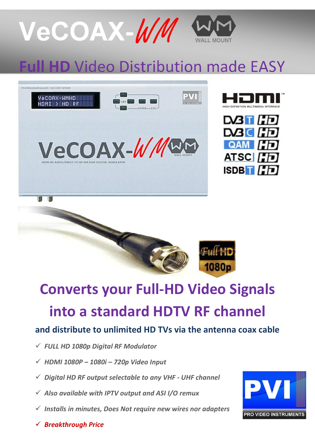

# **HD Video Distribution made EASY**









## **Converts your Full-HD Video Signals into a standard HDTV RF channel**

### **and distribute to unlimited HD TVs via the antenna coax cable**

- *FULL HD 1080p Digital RF Modulator*
- *HDMI 1080P – 1080i – 720p Video Input*
- *Digital HD RF output selectable to any VHF - UHF channel*
- *Also available with IPTV output and ASI I/O remux*
- *Installs in minutes, Does Not require new wires nor adapters*



*Breakthrough Price*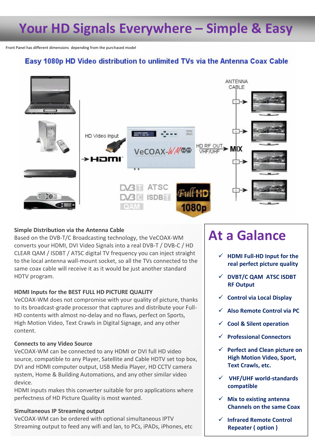## **Your HD Signals Everywhere – Simple & Easy**

Front Panel has different dimensions depending from the purchased model

### Easy 1080p HD Video distribution to unlimited TVs via the Antenna Coax Cable



### **Simple Distribution via the Antenna Cable**

Based on the DVB-T/C Broadcasting technology, the VeCOAX-WM converts your HDMI, DVI Video Signals into a real DVB-T / DVB-C / HD CLEAR QAM / ISDBT / ATSC digital TV frequency you can inject straight to the local antenna wall-mount socket, so all the TVs connected to the same coax cable will receive it as it would be just another standard HDTV program.

#### **HDMI Inputs for the BEST FULL HD PICTURE QUALITY**

VeCOAX-WM does not compromise with your quality of picture, thanks to its broadcast-grade processor that captures and distribute your Full-HD contents with almost no-delay and no flaws, perfect on Sports, High Motion Video, Text Crawls in Digital Signage, and any other content.

#### **Connects to any Video Source**

VeCOAX-WM can be connected to any HDMI or DVI full HD video source, compatible to any Player, Satellite and Cable HDTV set top box, DVI and HDMI computer output, USB Media Player, HD CCTV camera system, Home & Building Automations, and any other similar video device.

HDMI inputs makes this converter suitable for pro applications where perfectness of HD Picture Quality is most wanted.

#### **Simultaneous IP Streaming output**

VeCOAX-WM can be ordered with optional simultaneous IPTV Streaming output to feed any wifi and lan, to PCs, iPADs, iPhones, etc

### **At a Galance**

- **HDMI Full-HD Input for the real perfect picture quality**
- **DVBT/C QAM ATSC ISDBT RF Output**
- **Control via Local Display**
- **Also Remote Control via PC**
- **Cool & Silent operation**
- **Professional Connectors**
- **Perfect and Clean picture on High Motion Video, Sport, Text Crawls, etc.**
- **VHF/UHF world-standards compatible**
- **Mix to existing antenna Channels on the same Coax**
- **Infrared Remote Control Repeater ( option )**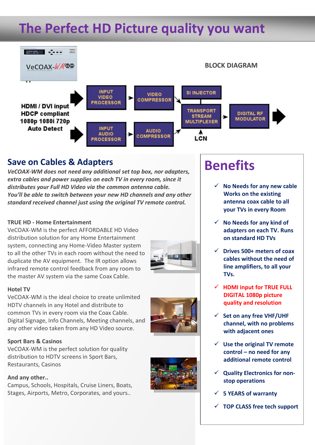## **The Perfect HD Picture quality you want**



### **Save on Cables & Adapters**

*VeCOAX-WM does not need any additional set top box, nor adapters, extra cables and power supplies on each TV in every room, since it distributes your Full HD Video via the common antenna cable. You'll be able to switch between your new HD channels and any other standard received channel just using the original TV remote control.*

#### **TRUE HD - Home Entertainment**

VeCOAX-WM is the perfect AFFORDABLE HD Video distribution solution for any Home Entertainment system, connecting any Home-Video Master system to all the other TVs in each room without the need to duplicate the AV equipment. The IR option allows infrared remote control feedback from any room to the master AV system via the same Coax Cable.

#### **Hotel TV**

VeCOAX-WM is the ideal choice to create unlimited HDTV channels in any Hotel and distribute to common TVs in every room via the Coax Cable. Digital Signage, Info Channels, Meeting channels, and any other video taken from any HD Video source.

#### **Sport Bars & Casinos**

VeCOAX-WM is the perfect solution for quality distribution to HDTV screens in Sport Bars, Restaurants, Casinos

#### **And any other..**

Campus, Schools, Hospitals, Cruise Liners, Boats, Stages, Airports, Metro, Corporates, and yours..



## **Benefits**

- **No Needs for any new cable Works on the existing antenna coax cable to all your TVs in every Room**
- **No Needs for any kind of adapters on each TV. Runs on standard HD TVs**
- **Drives 500+ meters of coax cables without the need of line amplifiers, to all your TVs.**
- **HDMI input for TRUE FULL DIGITAL 1080p picture quality and resolution**
- **Set on any free VHF/UHF channel, with no problems with adjacent ones**
- **Use the original TV remote control – no need for any additional remote control**
- **Quality Electronics for nonstop operations**
- **5 YEARS of warranty**
- **TOP CLASS free tech support**